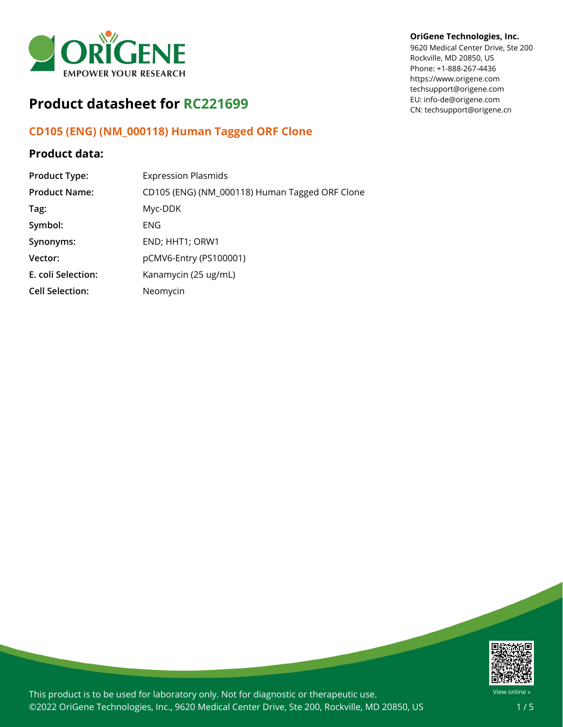

# **Product datasheet for RC221699**

# **CD105 (ENG) (NM\_000118) Human Tagged ORF Clone**

## **Product data:**

| <b>Product Type:</b>   | <b>Expression Plasmids</b>                     |
|------------------------|------------------------------------------------|
| <b>Product Name:</b>   | CD105 (ENG) (NM_000118) Human Tagged ORF Clone |
| Tag:                   | Myc-DDK                                        |
| Symbol:                | <b>ENG</b>                                     |
| Synonyms:              | END; HHT1; ORW1                                |
| Vector:                | pCMV6-Entry (PS100001)                         |
| E. coli Selection:     | Kanamycin (25 ug/mL)                           |
| <b>Cell Selection:</b> | Neomycin                                       |

#### **OriGene Technologies, Inc.**

9620 Medical Center Drive, Ste 200 Rockville, MD 20850, US Phone: +1-888-267-4436 https://www.origene.com techsupport@origene.com EU: info-de@origene.com CN: techsupport@origene.cn



This product is to be used for laboratory only. Not for diagnostic or therapeutic use. ©2022 OriGene Technologies, Inc., 9620 Medical Center Drive, Ste 200, Rockville, MD 20850, US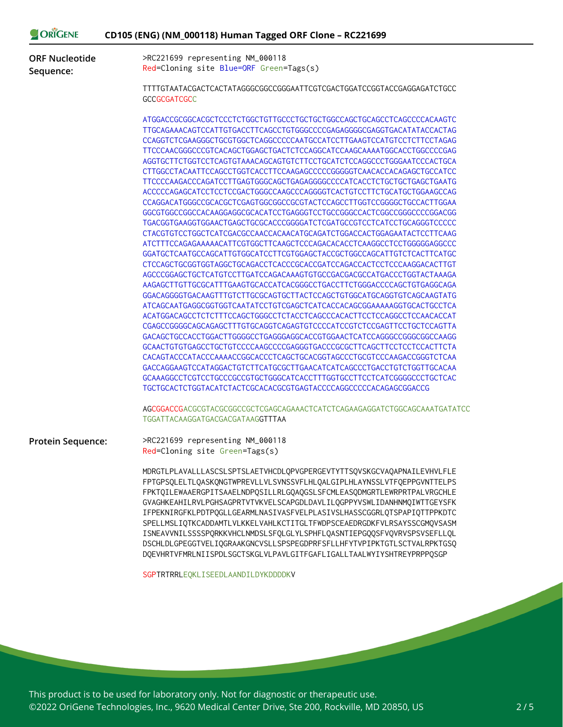| <b>ORIGENE</b>                     | CD105 (ENG) (NM_000118) Human Tagged ORF Clone - RC221699                                                                                                                                                                                                                                                                                                                                                                                                                                                                                                                                                                                                                            |
|------------------------------------|--------------------------------------------------------------------------------------------------------------------------------------------------------------------------------------------------------------------------------------------------------------------------------------------------------------------------------------------------------------------------------------------------------------------------------------------------------------------------------------------------------------------------------------------------------------------------------------------------------------------------------------------------------------------------------------|
| <b>ORF Nucleotide</b><br>Sequence: | >RC221699 representing NM_000118<br>Red=Cloning site Blue=ORF Green=Tags(s)                                                                                                                                                                                                                                                                                                                                                                                                                                                                                                                                                                                                          |
|                                    | TTTTGTAATACGACTCACTATAGGGCGGCCGGGAATTCGTCGACTGGATCCGGTACCGAGGAGATCTGCC<br><b>GCCGCGATCGCC</b>                                                                                                                                                                                                                                                                                                                                                                                                                                                                                                                                                                                        |
|                                    | ATGGACCGCGGCACGCTCCCTCTGGCTGTTGCCCTGCTGCTGGCCAGCTGCAGCCTCAGCCCCACAAGTC                                                                                                                                                                                                                                                                                                                                                                                                                                                                                                                                                                                                               |
|                                    | TTGCAGAAACAGTCCATTGTGACCTTCAGCCTGTGGGCCCCGAGAGGGGCGAGGTGACATATACCACTAG                                                                                                                                                                                                                                                                                                                                                                                                                                                                                                                                                                                                               |
|                                    | CCAGGTCTCGAAGGGCTGCGTGGCTCAGGCCCCCAATGCCATCCTTGAAGTCCATGTCCTCTTCCTAGAG                                                                                                                                                                                                                                                                                                                                                                                                                                                                                                                                                                                                               |
|                                    | TTCCCAACGGGCCCGTCACAGCTGGAGCTGACTCTCCAGGCATCCAAGCAAAATGGCACCTGGCCCCGAG                                                                                                                                                                                                                                                                                                                                                                                                                                                                                                                                                                                                               |
|                                    | AGGTGCTTCTGGTCCTCAGTGTAAACAGCAGTGTCTTCCTGCATCTCCAGGCCCTGGGAATCCCACTGCA                                                                                                                                                                                                                                                                                                                                                                                                                                                                                                                                                                                                               |
|                                    | CTTGGCCTACAATTCCAGCCTGGTCACCTTCCAAGAGCCCCCGGGGGTCAACACCACAGAGCTGCCATCC                                                                                                                                                                                                                                                                                                                                                                                                                                                                                                                                                                                                               |
|                                    | TTCCCCAAGACCCAGATCCTTGAGTGGGCAGCTGAGAGGGGCCCCATCACCTCTGCTGCTGAGCTGAATG                                                                                                                                                                                                                                                                                                                                                                                                                                                                                                                                                                                                               |
|                                    | ACCCCCAGAGCATCCTCCTCCGACTGGGCCAAGCCCAGGGGTCACTGTCCTTCTGCATGCTGGAAGCCAG                                                                                                                                                                                                                                                                                                                                                                                                                                                                                                                                                                                                               |
|                                    | CCAGGACATGGGCCGCACGCTCGAGTGGCGGCCGCGTACTCCAGCCTTGGTCCGGGGCTGCCACTTGGAA                                                                                                                                                                                                                                                                                                                                                                                                                                                                                                                                                                                                               |
|                                    | GGCGTGGCCGGCCACAAGGAGGCGCACATCCTGAGGGTCCTGCCGGGCCACTCGGCCGGGCCCCGGACGG                                                                                                                                                                                                                                                                                                                                                                                                                                                                                                                                                                                                               |
|                                    | TGACGGTGAAGGTGGAACTGAGCTGCGCACCCGGGGATCTCGATGCCGTCCTCATCCTGCAGGGTCCCCC                                                                                                                                                                                                                                                                                                                                                                                                                                                                                                                                                                                                               |
|                                    | CTACGTGTCCTGGCTCATCGACGCCAACCACAACATGCAGATCTGGACCACTGGAGAATACTCCTTCAAG                                                                                                                                                                                                                                                                                                                                                                                                                                                                                                                                                                                                               |
|                                    | ATCTTTCCAGAGAAAAACATTCGTGGCTTCAAGCTCCCAGACACACCTCAAGGCCTCCTGGGGGAGGCCC                                                                                                                                                                                                                                                                                                                                                                                                                                                                                                                                                                                                               |
|                                    | GGATGCTCAATGCCAGCATTGTGGCATCCTTCGTGGAGCTACCGCTGGCCAGCATTGTCTCACTTCATGC                                                                                                                                                                                                                                                                                                                                                                                                                                                                                                                                                                                                               |
|                                    | CTCCAGCTGCGGTGGTAGGCTGCAGACCTCACCCGCACCGATCCAGACCACTCCTCCCAAGGACACTTGT                                                                                                                                                                                                                                                                                                                                                                                                                                                                                                                                                                                                               |
|                                    | AGCCCGGAGCTGCTCATGTCCTTGATCCAGACAAAGTGTGCCGACGACGCCATGACCCTGGTACTAAAGA                                                                                                                                                                                                                                                                                                                                                                                                                                                                                                                                                                                                               |
|                                    | AAGAGCTTGTTGCGCATTTGAAGTGCACCATCACGGGCCTGACCTTCTGGGACCCCAGCTGTGAGGCAGA                                                                                                                                                                                                                                                                                                                                                                                                                                                                                                                                                                                                               |
|                                    | GGACAGGGGTGACAAGTTTGTCTTGCGCAGTGCTTACTCCAGCTGTGGCATGCAGGTGTCAGCAAGTATG                                                                                                                                                                                                                                                                                                                                                                                                                                                                                                                                                                                                               |
|                                    | ATCAGCAATGAGGCGGTGGTCAATATCCTGTCGAGCTCATCACCACAGCGGAAAAAGGTGCACTGCCTCA                                                                                                                                                                                                                                                                                                                                                                                                                                                                                                                                                                                                               |
|                                    | ACATGGACAGCCTCTCTTTCCAGCTGGGCCTCTACCTCAGCCCACACTTCCTCCAGGCCTCCAACACCAT                                                                                                                                                                                                                                                                                                                                                                                                                                                                                                                                                                                                               |
|                                    | CGAGCCGGGGCAGCAGAGCTTTGTGCAGGTCAGAGTGTCCCCATCCGTCTCCGAGTTCCTGCTCCAGTTA                                                                                                                                                                                                                                                                                                                                                                                                                                                                                                                                                                                                               |
|                                    | GACAGCTGCCACCTGGACTTGGGGCCTGAGGGAGGCACCGTGGAACTCATCCAGGGCCGGGCGGCCAAGG                                                                                                                                                                                                                                                                                                                                                                                                                                                                                                                                                                                                               |
|                                    | GCAACTGTGTGAGCCTGCTGTCCCCAAGCCCCGAGGGTGACCCGCGCTTCAGCTTCCTCCTCCACTTCTA                                                                                                                                                                                                                                                                                                                                                                                                                                                                                                                                                                                                               |
|                                    | CACAGTACCCATACCCAAAACCGGCACCCTCAGCTGCACGGTAGCCCTGCGTCCCAAGACCGGGTCTCAA                                                                                                                                                                                                                                                                                                                                                                                                                                                                                                                                                                                                               |
|                                    | GACCAGGAAGTCCATAGGACTGTCTTCATGCGCTTGAACATCATCAGCCCTGACCTGTCTGGTTGCACAA                                                                                                                                                                                                                                                                                                                                                                                                                                                                                                                                                                                                               |
|                                    | GCAAAGGCCTCGTCCTGCCCGCCGTGCTGGGCATCACCTTTGGTGCCTTCCTCATCGGGGCCCTGCTCAC                                                                                                                                                                                                                                                                                                                                                                                                                                                                                                                                                                                                               |
|                                    | TGCTGCACTCTGGTACATCTACTCGCACACGCGTGAGTACCCCAGGCCCCCACAGAGCGGACCG                                                                                                                                                                                                                                                                                                                                                                                                                                                                                                                                                                                                                     |
|                                    | AGCGGACCGACGCGTACGCGGCCGCTCGAGCAGAAACTCATCTCAGAAGAGGATCTGGCAGCAAATGATATCC<br>TGGATTACAAGGATGACGACGATAAGGTTTAA                                                                                                                                                                                                                                                                                                                                                                                                                                                                                                                                                                        |
|                                    |                                                                                                                                                                                                                                                                                                                                                                                                                                                                                                                                                                                                                                                                                      |
| <b>Protein Sequence:</b>           | >RC221699 representing NM_000118<br>Red=Cloning site Green=Tags(s)                                                                                                                                                                                                                                                                                                                                                                                                                                                                                                                                                                                                                   |
|                                    | MDRGTLPLAVALLLASCSLSPTSLAETVHCDLQPVGPERGEVTYTTSQVSKGCVAQAPNAILEVHVLFLE<br>FPTGPSQLELTLQASKQNGTWPREVLLVLSVNSSVFLHLQALGIPLHLAYNSSLVTFQEPPGVNTTELPS<br>FPKTQILEWAAERGPITSAAELNDPQSILLRLGQAQGSLSFCMLEASQDMGRTLEWRPRTPALVRGCHLE<br>GVAGHKEAHILRVLPGHSAGPRTVTVKVELSCAPGDLDAVLILQGPPYVSWLIDANHNMQIWTTGEYSFK<br>IFPEKNIRGFKLPDTPQGLLGEARMLNASIVASFVELPLASIVSLHASSCGGRLQTSPAPIQTTPPKDTC<br>SPELLMSLIQTKCADDAMTLVLKKELVAHLKCTITGLTFWDPSCEAEDRGDKFVLRSAYSSCGMQVSASM<br>ISNEAVVNILSSSSPQRKKVHCLNMDSLSFQLGLYLSPHFLQASNTIEPGQQSFVQVRVSPSVSEFLLQL<br>DSCHLDLGPEGGTVELIQGRAAKGNCVSLLSPSPEGDPRFSFLLHFYTVPIPKTGTLSCTVALRPKTGSQ<br>DQEVHRTVFMRLNIISPDLSGCTSKGLVLPAVLGITFGAFLIGALLTAALWYIYSHTREYPRPPQSGP |

SGPTRTRRLEQKLISEEDLAANDILDYKDDDDKV

 $O<sub>R</sub>$  $O<sub>R</sub>$  $O<sub>R</sub>$  $O<sub>R</sub>$  $O<sub>R</sub>$ 

This product is to be used for laboratory only. Not for diagnostic or therapeutic use. ©2022 OriGene Technologies, Inc., 9620 Medical Center Drive, Ste 200, Rockville, MD 20850, US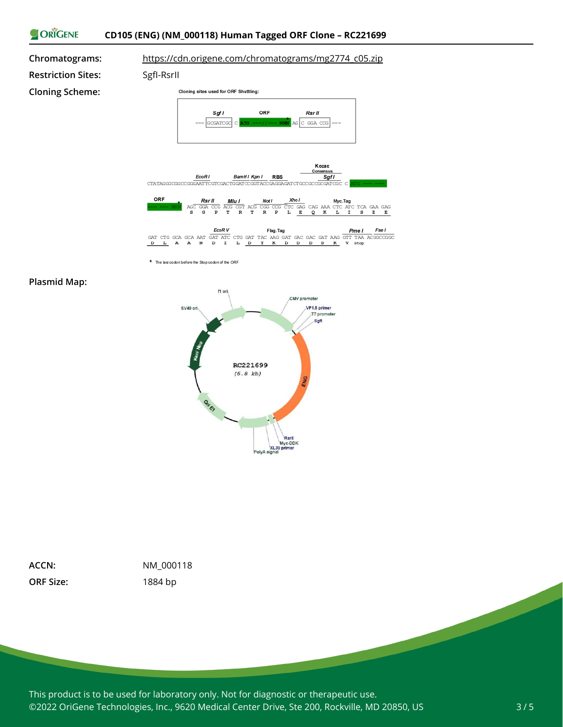



#### **Plasmid Map:**



| ACCN:            |
|------------------|
| <b>ORF Size:</b> |

**ACCN:** NM\_000118 **ORF Size:** 1884 bp

This product is to be used for laboratory only. Not for diagnostic or therapeutic use. ©2022 OriGene Technologies, Inc., 9620 Medical Center Drive, Ste 200, Rockville, MD 20850, US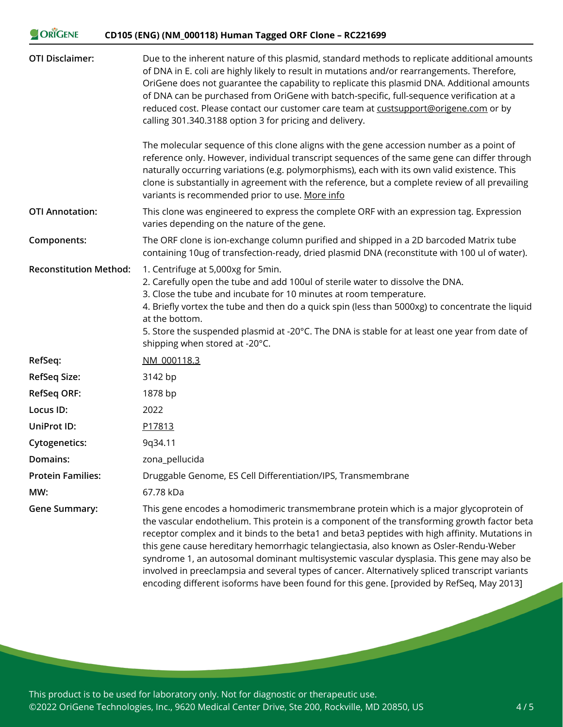| ORIGENE                       | CD105 (ENG) (NM_000118) Human Tagged ORF Clone - RC221699                                                                                                                                                                                                                                                                                                                                                                                                                                                                                                                          |
|-------------------------------|------------------------------------------------------------------------------------------------------------------------------------------------------------------------------------------------------------------------------------------------------------------------------------------------------------------------------------------------------------------------------------------------------------------------------------------------------------------------------------------------------------------------------------------------------------------------------------|
| <b>OTI Disclaimer:</b>        | Due to the inherent nature of this plasmid, standard methods to replicate additional amounts<br>of DNA in E. coli are highly likely to result in mutations and/or rearrangements. Therefore,<br>OriGene does not guarantee the capability to replicate this plasmid DNA. Additional amounts<br>of DNA can be purchased from OriGene with batch-specific, full-sequence verification at a<br>reduced cost. Please contact our customer care team at custsupport@origene.com or by<br>calling 301.340.3188 option 3 for pricing and delivery.                                        |
|                               | The molecular sequence of this clone aligns with the gene accession number as a point of<br>reference only. However, individual transcript sequences of the same gene can differ through<br>naturally occurring variations (e.g. polymorphisms), each with its own valid existence. This<br>clone is substantially in agreement with the reference, but a complete review of all prevailing<br>variants is recommended prior to use. More info                                                                                                                                     |
| <b>OTI Annotation:</b>        | This clone was engineered to express the complete ORF with an expression tag. Expression<br>varies depending on the nature of the gene.                                                                                                                                                                                                                                                                                                                                                                                                                                            |
| Components:                   | The ORF clone is ion-exchange column purified and shipped in a 2D barcoded Matrix tube<br>containing 10ug of transfection-ready, dried plasmid DNA (reconstitute with 100 ul of water).                                                                                                                                                                                                                                                                                                                                                                                            |
| <b>Reconstitution Method:</b> | 1. Centrifuge at 5,000xg for 5min.<br>2. Carefully open the tube and add 100ul of sterile water to dissolve the DNA.<br>3. Close the tube and incubate for 10 minutes at room temperature.<br>4. Briefly vortex the tube and then do a quick spin (less than 5000xg) to concentrate the liquid<br>at the bottom.<br>5. Store the suspended plasmid at -20°C. The DNA is stable for at least one year from date of<br>shipping when stored at -20°C.                                                                                                                                |
| RefSeq:                       | NM 000118.3                                                                                                                                                                                                                                                                                                                                                                                                                                                                                                                                                                        |
| <b>RefSeq Size:</b>           | 3142 bp                                                                                                                                                                                                                                                                                                                                                                                                                                                                                                                                                                            |
| <b>RefSeq ORF:</b>            | 1878 bp                                                                                                                                                                                                                                                                                                                                                                                                                                                                                                                                                                            |
| Locus ID:                     | 2022                                                                                                                                                                                                                                                                                                                                                                                                                                                                                                                                                                               |
| UniProt ID:                   | P17813                                                                                                                                                                                                                                                                                                                                                                                                                                                                                                                                                                             |
| <b>Cytogenetics:</b>          | 9q34.11                                                                                                                                                                                                                                                                                                                                                                                                                                                                                                                                                                            |
| Domains:                      | zona_pellucida                                                                                                                                                                                                                                                                                                                                                                                                                                                                                                                                                                     |
| <b>Protein Families:</b>      | Druggable Genome, ES Cell Differentiation/IPS, Transmembrane                                                                                                                                                                                                                                                                                                                                                                                                                                                                                                                       |
| MW:                           | 67.78 kDa                                                                                                                                                                                                                                                                                                                                                                                                                                                                                                                                                                          |
| <b>Gene Summary:</b>          | This gene encodes a homodimeric transmembrane protein which is a major glycoprotein of<br>the vascular endothelium. This protein is a component of the transforming growth factor beta<br>receptor complex and it binds to the beta1 and beta3 peptides with high affinity. Mutations in<br>this gene cause hereditary hemorrhagic telangiectasia, also known as Osler-Rendu-Weber<br>syndrome 1, an autosomal dominant multisystemic vascular dysplasia. This gene may also be<br>involved in preeclampsia and several types of cancer. Alternatively spliced transcript variants |

encoding different isoforms have been found for this gene. [provided by RefSeq, May 2013]

This product is to be used for laboratory only. Not for diagnostic or therapeutic use. ©2022 OriGene Technologies, Inc., 9620 Medical Center Drive, Ste 200, Rockville, MD 20850, US